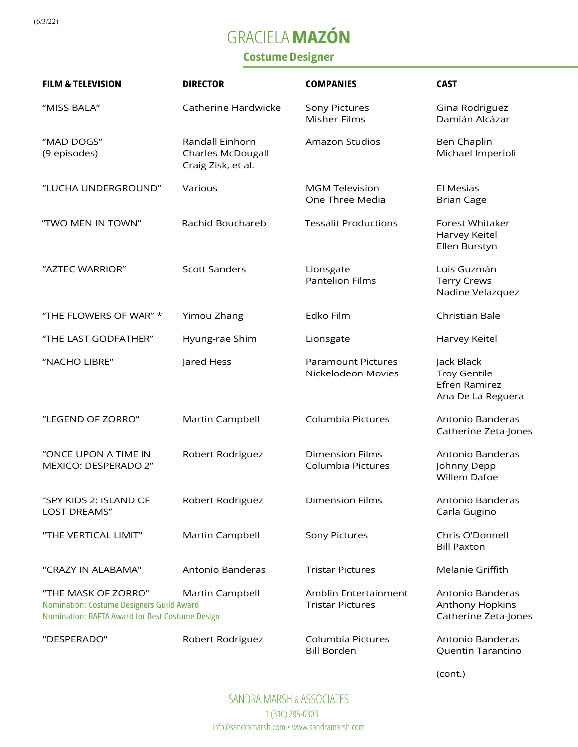(6/3/22)

## GRACIELA **MAZÓN**

## Costume Designer

| <b>FILM &amp; TELEVISION</b>                                                                                               | <b>DIRECTOR</b>                                                   | <b>COMPANIES</b>                                | <b>CAST</b>                                                             |
|----------------------------------------------------------------------------------------------------------------------------|-------------------------------------------------------------------|-------------------------------------------------|-------------------------------------------------------------------------|
| "MISS BALA"                                                                                                                | Catherine Hardwicke                                               | Sony Pictures<br>Misher Films                   | Gina Rodriguez<br>Damián Alcázar                                        |
| "MAD DOGS"<br>(9 episodes)                                                                                                 | Randall Einhorn<br><b>Charles McDougall</b><br>Craig Zisk, et al. | <b>Amazon Studios</b>                           | Ben Chaplin<br>Michael Imperioli                                        |
| "LUCHA UNDERGROUND"                                                                                                        | Various                                                           | <b>MGM Television</b><br>One Three Media        | El Mesias<br><b>Brian Cage</b>                                          |
| "TWO MEN IN TOWN"                                                                                                          | Rachid Bouchareb                                                  | <b>Tessalit Productions</b>                     | Forest Whitaker<br>Harvey Keitel<br>Ellen Burstyn                       |
| "AZTEC WARRIOR"                                                                                                            | <b>Scott Sanders</b>                                              | Lionsgate<br><b>Pantelion Films</b>             | Luis Guzmán<br><b>Terry Crews</b><br>Nadine Velazquez                   |
| "THE FLOWERS OF WAR" *                                                                                                     | Yimou Zhang                                                       | Edko Film                                       | Christian Bale                                                          |
| "THE LAST GODFATHER"                                                                                                       | Hyung-rae Shim                                                    | Lionsgate                                       | Harvey Keitel                                                           |
| "NACHO LIBRE"                                                                                                              | Jared Hess                                                        | <b>Paramount Pictures</b><br>Nickelodeon Movies | Jack Black<br><b>Troy Gentile</b><br>Efren Ramirez<br>Ana De La Reguera |
| "LEGEND OF ZORRO"                                                                                                          | Martin Campbell                                                   | Columbia Pictures                               | Antonio Banderas<br>Catherine Zeta-Jones                                |
| "ONCE UPON A TIME IN<br>MEXICO: DESPERADO 2"                                                                               | Robert Rodriguez                                                  | <b>Dimension Films</b><br>Columbia Pictures     | Antonio Banderas<br>Johnny Depp<br>Willem Dafoe                         |
| "SPY KIDS 2: ISLAND OF<br><b>LOST DREAMS"</b>                                                                              | Robert Rodriguez                                                  | <b>Dimension Films</b>                          | Antonio Banderas<br>Carla Gugino                                        |
| "THE VERTICAL LIMIT"                                                                                                       | Martin Campbell                                                   | <b>Sony Pictures</b>                            | Chris O'Donnell<br><b>Bill Paxton</b>                                   |
| "CRAZY IN ALABAMA"                                                                                                         | Antonio Banderas                                                  | <b>Tristar Pictures</b>                         | Melanie Griffith                                                        |
| "THE MASK OF ZORRO"<br><b>Nomination: Costume Designers Guild Award</b><br>Nomination: BAFTA Award for Best Costume Design | Martin Campbell                                                   | Amblin Entertainment<br><b>Tristar Pictures</b> | Antonio Banderas<br>Anthony Hopkins<br>Catherine Zeta-Jones             |
| "DESPERADO"                                                                                                                | Robert Rodriguez                                                  | Columbia Pictures<br><b>Bill Borden</b>         | Antonio Banderas<br>Quentin Tarantino                                   |

(cont.)